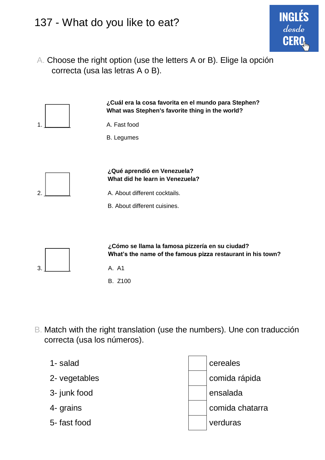## 137 - What do you like to eat?

A. Choose the right option (use the letters A or B). Elige la opción correcta (usa las letras A o B).

**ING** 



- B. Match with the right translation (use the numbers). Une con traducción correcta (usa los números).
	- 1- salad cereales 2- vegetables comida rápida 3- junk food ensalada 4- grains comida chatarra 5- fast food verduras